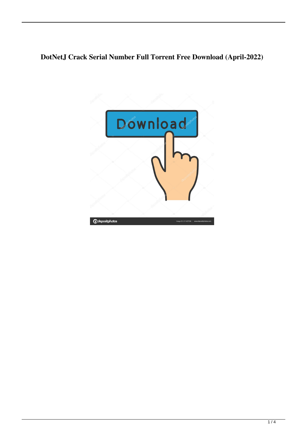# **DotNetJ Crack Serial Number Full Torrent Free Download (April-2022)**

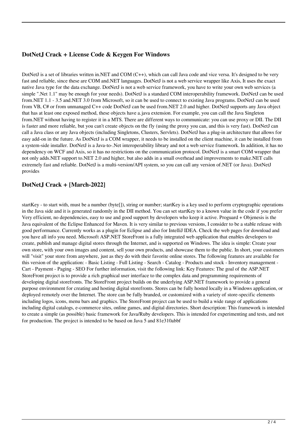### **DotNetJ Crack + License Code & Keygen For Windows**

DotNetJ is a set of libraries written in.NET and COM (C++), which can call Java code and vice versa. It's designed to be very fast and reliable, since these are COM and.NET languages. DotNetJ is not a web service wrapper like Axis, It uses the exact native Java type for the data exchange. DotNetJ is not a web service framework, you have to write your own web services (a simple ".Net 1.1" may be enough for your needs). DotNetJ is a standard COM interoperability framework. DotNetJ can be used from.NET 1.1 - 3.5 and.NET 3.0 from Microsoft, so it can be used to connect to existing Java programs. DotNetJ can be used from VB, C# or from unmanaged C++ code DotNetJ can be used from.NET 2.0 and higher. DotNetJ supports any Java object that has at least one exposed method, these objects have a.java extension. For example, you can call the Java Singleton from.NET without having to register it in a MTS. There are different ways to communicate: you can use proxy or DII. The DII is faster and more reliable, but you can't create objects on the fly (using the proxy you can, and this is very fast). DotNetJ can call a Java class or any Java objects (including Singletons, Clusters, Servlets). DotNetJ has a plug-in architecture that allows for easy add-on in the future. As DotNetJ is a COM wrapper, it needs to be installed on the client machine, it can be installed from a system-side installer. DotNetJ is a Java-to-.Net interoperability library and not a web service framework. In addition, it has no dependency on WCF and Axis, so it has no restrictions on the communication protocol. DotNetJ is a smart COM wrapper that not only adds.NET support to.NET 2.0 and higher, but also adds in a small overhead and improvements to make.NET calls extremely fast and reliable. DotNetJ is a multi-version/API system, so you can call any version of.NET (or Java). DotNetJ provides

#### **DotNetJ Crack + [March-2022]**

startKey - to start with, must be a number (byte[]), string or number; startKey is a key used to perform cryptographic operations in the Java side and it is generated randomly in the DII method. You can set startKey to a known value in the code if you prefer Very efficient, no dependencies, easy to use and good support by developers who keep it active. Proguard + Objenesis is the Java equivalent of the Eclipse Enhanced for Maven. It is very similar to previous versions, I consider to be a stable release with good performance. Currently works as a plugin for Eclipse and also for IntelliJ IDEA. Check the web pages for download and you have all info you need. Microsoft ASP.NET StoreFront is a fully integrated web application that enables developers to create, publish and manage digital stores through the Internet, and is supported on Windows. The idea is simple: Create your own store, with your own images and content, sell your own products, and showcase them to the public. In short, your customers will "visit" your store from anywhere, just as they do with their favorite online stores. The following features are available for this version of the application: - Basic Listing - Full Listing - Search - Catalog - Products and stock - Inventory management - Cart - Payment - Paging - SEO For further information, visit the following link: Key Features: The goal of the ASP.NET StoreFront project is to provide a rich graphical user interface to the complex data and programming requirements of developing digital storefronts. The StoreFront project builds on the underlying ASP.NET framework to provide a general purpose environment for creating and hosting digital storefronts. Stores can be fully hosted locally in a Windows application, or deployed remotely over the Internet. The store can be fully branded, or customized with a variety of store-specific elements including logos, icons, menu bars and graphics. The StoreFront project can be used to build a wide range of applications including digital catalogs, e-commerce sites, online games, and digital directories. Short description: This framework is intended to create a simple (as possible) basic framework for Java/Ruby developers. This is intended for experimenting and tests, and not for production. The project is intended to be based on Java 5 and 81e310abbf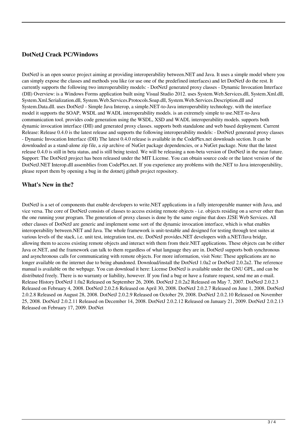### **DotNetJ Crack PC/Windows**

DotNetJ is an open source project aiming at providing interoperability between.NET and Java. It uses a simple model where you can simply expose the classes and methods you like (or use one of the predefined interfaces) and let DotNetJ do the rest. It currently supports the following two interoperability models: - DotNetJ generated proxy classes - Dynamic Invocation Interface (DII) Overview: is a Windows Forms application built using Visual Studio 2012. uses System.Web.Services.dll, System.Xml.dll, System.Xml.Serialization.dll, System.Web.Services.Protocols.Soap.dll, System.Web.Services.Description.dll and System.Data.dll. uses DotNetJ - Simple Java Interop, a simple.NET-to-Java interoperability technology. with the interface model it supports the SOAP, WSDL and WADL interoperability models. is an extremely simple to use.NET-to-Java communication tool. provides code generation using the WSDL, XSD and WADL interoperability models. supports both dynamic invocation interface (DII) and generated proxy classes. supports both standalone and web based deployment. Current Release: Release 0.4.0 is the latest release and supports the following interoperability models: - DotNetJ generated proxy classes - Dynamic Invocation Interface (DII) The latest 0.4.0 release is available in the CodePlex.net downloads section. It can be downloaded as a stand-alone zip file, a zip archive of NuGet package dependencies, or a NuGet package. Note that the latest release 0.4.0 is still in beta status, and is still being tested. We will be releasing a non-beta version of DotNetJ in the near future. Support: The DotNetJ project has been released under the MIT License. You can obtain source code or the latest version of the DotNetJ.NET Interop.dll assemblies from CodePlex.net. If you experience any problems with the.NET to Java interoperability, please report them by opening a bug in the dotnetj github project repository.

#### **What's New in the?**

DotNetJ is a set of components that enable developers to write.NET applications in a fully interoperable manner with Java, and vice versa. The core of DotNetJ consists of classes to access existing remote objects - i.e. objects residing on a server other than the one running your program. The generation of proxy classes is done by the same engine that does J2SE Web Services. All other classes of DotNetJ are generic and implement some sort of the dynamic invocation interface, which is what enables interoperability between.NET and Java. The whole framework is unit-testable and designed for testing through test suites at various levels of the stack, i.e. unit test, integration test, etc. DotNetJ provides.NET developers with a.NET/Java bridge, allowing them to access existing remote objects and interact with them from their.NET applications. These objects can be either Java or.NET, and the framework can talk to them regardless of what language they are in. DotNetJ supports both synchronous and asynchronous calls for communicating with remote objects. For more information, visit Note: These applications are no longer available on the internet due to being abandoned. Download/install the DotNetJ 1.0a2 or DotNetJ 2.0.2a2. The reference manual is available on the webpage. You can download it here: License DotNetJ is available under the GNU GPL, and can be distributed freely. There is no warranty or liability, however. If you find a bug or have a feature request, send me an e-mail. Release History DotNetJ 1.0a2 Released on September 26, 2006. DotNetJ 2.0.2a2 Released on May 7, 2007. DotNetJ 2.0.2.3 Released on February 4, 2008. DotNetJ 2.0.2.6 Released on April 30, 2008. DotNetJ 2.0.2.7 Released on June 1, 2008. DotNetJ 2.0.2.8 Released on August 28, 2008. DotNetJ 2.0.2.9 Released on October 29, 2008. DotNetJ 2.0.2.10 Released on November 25, 2008. DotNetJ 2.0.2.11 Released on December 14, 2008. DotNetJ 2.0.2.12 Released on January 21, 2009. DotNetJ 2.0.2.13 Released on February 17, 2009. DotNet